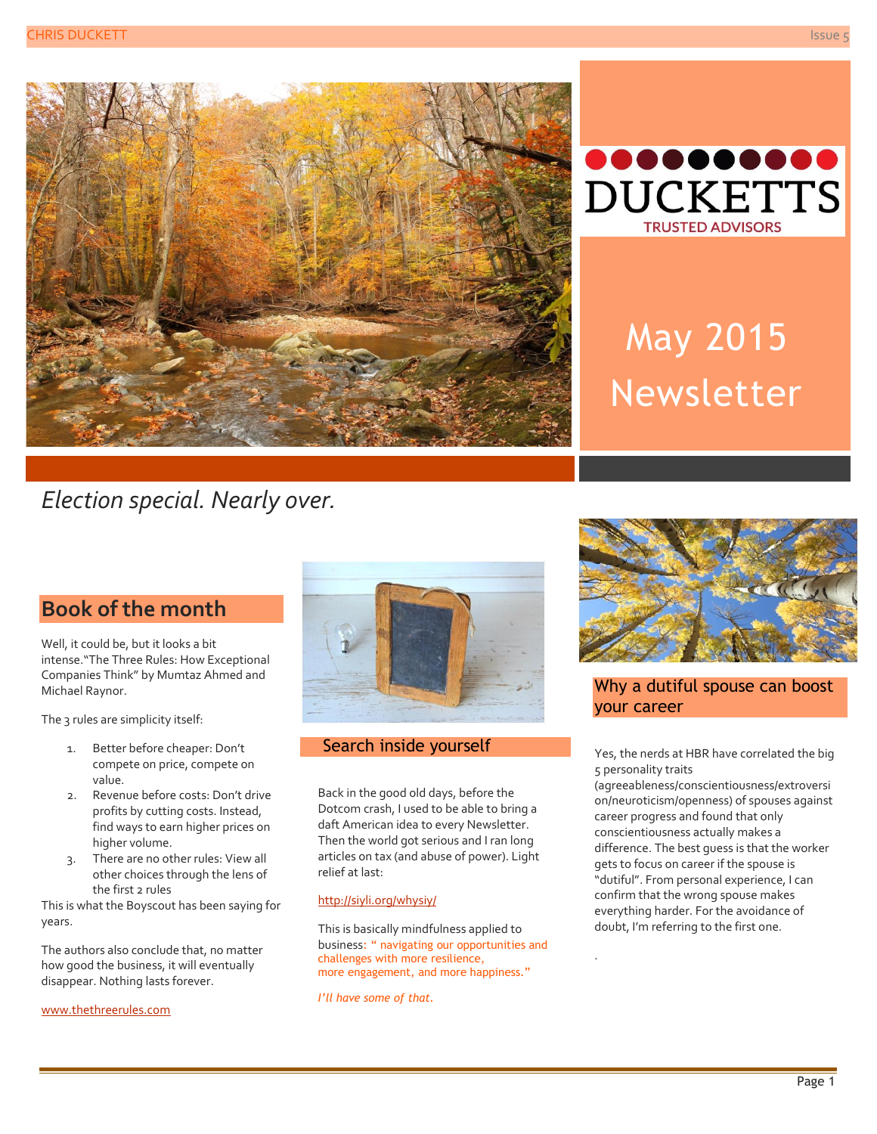



# May 2015 Newsletter

# *Election special. Nearly over.*

## **Book of the month**

Well, it could be, but it looks a bit intense."The Three Rules: How Exceptional Companies Think" by Mumtaz Ahmed and Michael Raynor.

The 3 rules are simplicity itself:

- 1. Better before cheaper: Don't compete on price, compete on value.
- 2. Revenue before costs: Don't drive profits by cutting costs. Instead, find ways to earn higher prices on higher volume.
- 3. There are no other rules: View all other choices through the lens of the first 2 rules

This is what the Boyscout has been saying for years.

The authors also conclude that, no matter how good the business, it will eventually disappear. Nothing lasts forever.

[www.thethreerules.com](http://www.thethreerules.com/)



#### Search inside yourself

Back in the good old days, before the Dotcom crash, I used to be able to bring a daft American idea to every Newsletter. Then the world got serious and I ran long articles on tax (and abuse of power). Light relief at last:

#### <http://siyli.org/whysiy/>

This is basically mindfulness applied to business: " navigating our opportunities and challenges with more resilience, more engagement, and more happiness."

*I'll have some of that.*



#### Why a dutiful spouse can boost your career

Yes, the nerds at HBR have correlated the big 5 personality traits

(agreeableness/conscientiousness/extroversi on/neuroticism/openness) of spouses against career progress and found that only conscientiousness actually makes a difference. The best guess is that the worker gets to focus on career if the spouse is "dutiful". From personal experience, I can confirm that the wrong spouse makes everything harder. For the avoidance of doubt, I'm referring to the first one.

.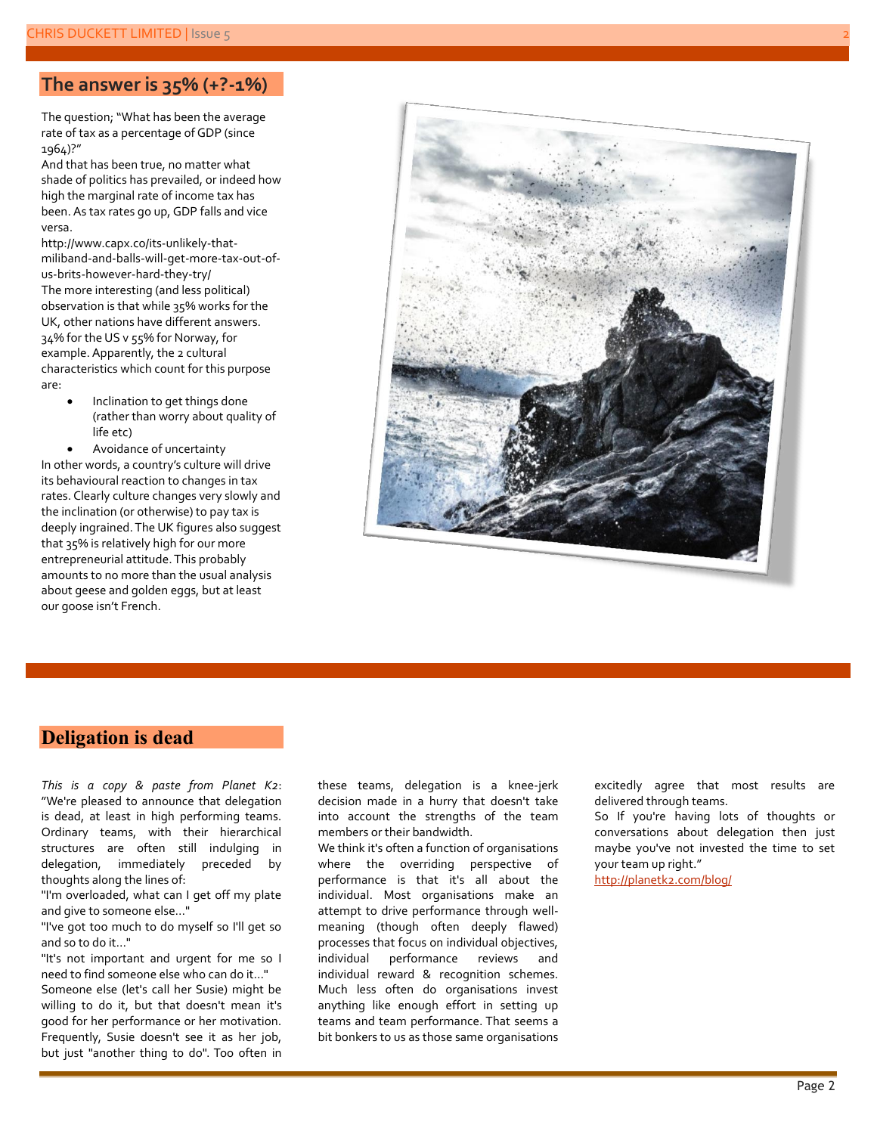### **The answer is 35% (+?-1%)**

The question; "What has been the average rate of tax as a percentage of GDP (since 1964)?"

And that has been true, no matter what shade of politics has prevailed, or indeed how high the marginal rate of income tax has been. As tax rates go up, GDP falls and vice versa.

[http://www.capx.co/its](http://www.capx.co/its-unlikely-that-miliband-and-balls-will-get-more-tax-out-of-us-brits-however-hard-they-try/)-unlikely-that[miliband](http://www.capx.co/its-unlikely-that-miliband-and-balls-will-get-more-tax-out-of-us-brits-however-hard-they-try/)-and-balls-will-get-more-tax-out-ofus-brits-[however](http://www.capx.co/its-unlikely-that-miliband-and-balls-will-get-more-tax-out-of-us-brits-however-hard-they-try/)-hard-they-try/ The more interesting (and less political) observation is that while 35% works for the UK, other nations have different answers. 34% for the US v 55% for Norway, for example. Apparently, the 2 cultural characteristics which count for this purpose are:

- Inclination to get things done (rather than worry about quality of life etc)
- Avoidance of uncertainty

In other words, a country's culture will drive its behavioural reaction to changes in tax rates. Clearly culture changes very slowly and the inclination (or otherwise) to pay tax is deeply ingrained. The UK figures also suggest that 35% is relatively high for our more entrepreneurial attitude. This probably amounts to no more than the usual analysis about geese and golden eggs, but at least our goose isn't French.



#### **Deligation is dead**

*This is a copy & paste from Planet K2*: "We're pleased to announce that delegation is dead, at least in high performing teams. Ordinary teams, with their hierarchical structures are often still indulging in delegation, immediately preceded by thoughts along the lines of:

"I'm overloaded, what can I get off my plate and give to someone else…"

"I've got too much to do myself so I'll get so and so to do it…"

"It's not important and urgent for me so I need to find someone else who can do it…"

Someone else (let's call her Susie) might be willing to do it, but that doesn't mean it's good for her performance or her motivation. Frequently, Susie doesn't see it as her job, but just "another thing to do". Too often in these teams, delegation is a knee-jerk decision made in a hurry that doesn't take into account the strengths of the team members or their bandwidth.

We think it's often a function of organisations where the overriding perspective of performance is that it's all about the individual. Most organisations make an attempt to drive performance through wellmeaning (though often deeply flawed) processes that focus on individual objectives, individual performance reviews and individual reward & recognition schemes. Much less often do organisations invest anything like enough effort in setting up teams and team performance. That seems a bit bonkers to us as those same organisations

excitedly agree that most results are delivered through teams.

So If you're having lots of thoughts or conversations about delegation then just maybe you've not invested the time to set your team up right."

<http://planetk2.com/blog/>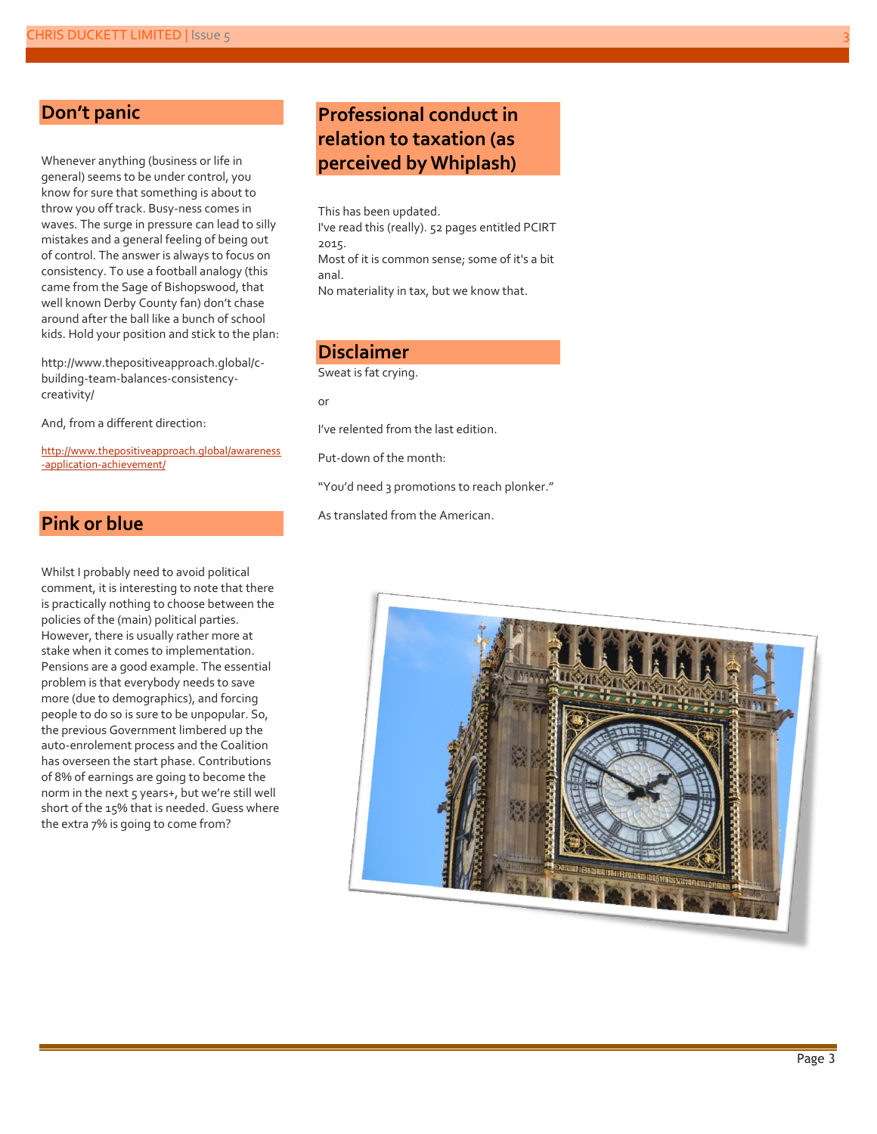#### **Don't panic**

Whenever anything (business or life in general) seems to be under control, you know for sure that something is about to throw you off track. Busy-ness comes in waves. The surge in pressure can lead to silly mistakes and a general feeling of being out of control. The answer is always to focus on consistency. To use a football analogy (this came from the Sage of Bishopswood, that well known Derby County fan) don't chase around after the ball like a bunch of school kids. Hold your position and stick to the plan:

[http://www.thepositiveapproach.global/c](http://www.thepositiveapproach.global/c-building-team-balances-consistency-creativity/)[building-team-balances-consistency](http://www.thepositiveapproach.global/c-building-team-balances-consistency-creativity/)[creativity/](http://www.thepositiveapproach.global/c-building-team-balances-consistency-creativity/)

And, from a different direction:

[http://www.thepositiveapproach.global/awareness](http://www.thepositiveapproach.global/awareness-application-achievement/) [-application-achievement/](http://www.thepositiveapproach.global/awareness-application-achievement/)

#### **Pink or blue**

Whilst I probably need to avoid political comment, it is interesting to note that there is practically nothing to choose between the policies of the (main) political parties. However, there is usually rather more at stake when it comes to implementation. Pensions are a good example. The essential problem is that everybody needs to save more (due to demographics), and forcing people to do so is sure to be unpopular. So, the previous Government limbered up the auto-enrolement process and the Coalition has overseen the start phase. Contributions of 8% of earnings are going to become the norm in the next 5 years+, but we're still well short of the 15% that is needed. Guess where the extra 7% is going to come from?

## **Professional conduct in relation to taxation (as perceived by Whiplash)**

This has been updated. I've read this (really). 52 pages entitled PCIRT 2015. Most of it is common sense; some of it's a bit anal. No materiality in tax, but we know that.

#### **Disclaimer**

Sweat is fat crying.

or

I've relented from the last edition.

Put-down of the month:

"You'd need 3 promotions to reach plonker."

As translated from the American.